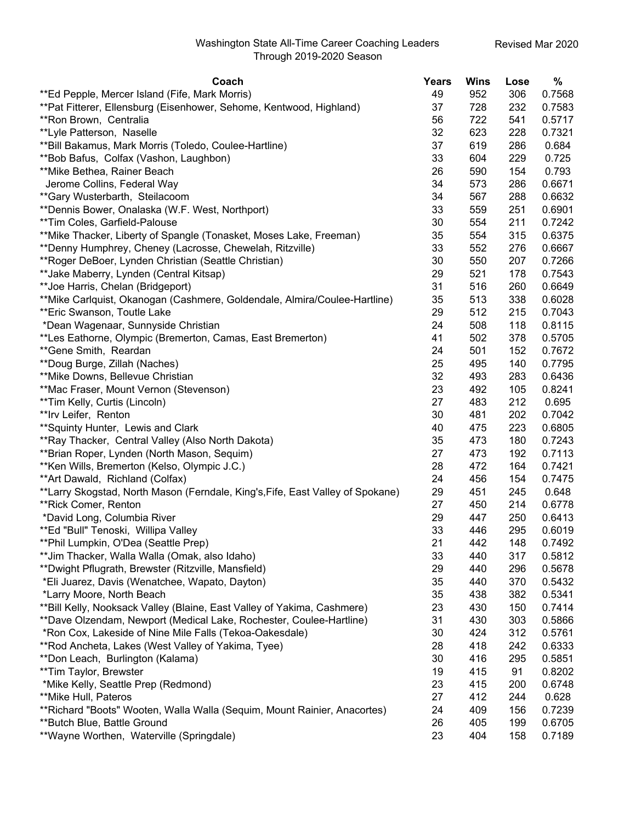| Coach                                                                          | Years | <b>Wins</b> | Lose | %      |
|--------------------------------------------------------------------------------|-------|-------------|------|--------|
| **Ed Pepple, Mercer Island (Fife, Mark Morris)                                 | 49    | 952         | 306  | 0.7568 |
| **Pat Fitterer, Ellensburg (Eisenhower, Sehome, Kentwood, Highland)            | 37    | 728         | 232  | 0.7583 |
| **Ron Brown, Centralia                                                         | 56    | 722         | 541  | 0.5717 |
| **Lyle Patterson, Naselle                                                      | 32    | 623         | 228  | 0.7321 |
| **Bill Bakamus, Mark Morris (Toledo, Coulee-Hartline)                          | 37    | 619         | 286  | 0.684  |
| **Bob Bafus, Colfax (Vashon, Laughbon)                                         | 33    | 604         | 229  | 0.725  |
| **Mike Bethea, Rainer Beach                                                    | 26    | 590         | 154  | 0.793  |
| Jerome Collins, Federal Way                                                    | 34    | 573         | 286  | 0.6671 |
| ** Gary Wusterbarth, Steilacoom                                                | 34    | 567         | 288  | 0.6632 |
| **Dennis Bower, Onalaska (W.F. West, Northport)                                | 33    | 559         | 251  | 0.6901 |
| **Tim Coles, Garfield-Palouse                                                  | 30    | 554         | 211  | 0.7242 |
| **Mike Thacker, Liberty of Spangle (Tonasket, Moses Lake, Freeman)             | 35    | 554         | 315  | 0.6375 |
| **Denny Humphrey, Cheney (Lacrosse, Chewelah, Ritzville)                       | 33    | 552         | 276  | 0.6667 |
| **Roger DeBoer, Lynden Christian (Seattle Christian)                           | 30    | 550         | 207  | 0.7266 |
| **Jake Maberry, Lynden (Central Kitsap)                                        | 29    | 521         | 178  | 0.7543 |
| **Joe Harris, Chelan (Bridgeport)                                              | 31    | 516         | 260  | 0.6649 |
| **Mike Carlquist, Okanogan (Cashmere, Goldendale, Almira/Coulee-Hartline)      | 35    | 513         | 338  | 0.6028 |
| **Eric Swanson, Toutle Lake                                                    | 29    | 512         | 215  | 0.7043 |
| *Dean Wagenaar, Sunnyside Christian                                            | 24    | 508         | 118  | 0.8115 |
| **Les Eathorne, Olympic (Bremerton, Camas, East Bremerton)                     | 41    | 502         | 378  | 0.5705 |
| **Gene Smith, Reardan                                                          | 24    | 501         | 152  | 0.7672 |
| **Doug Burge, Zillah (Naches)                                                  | 25    | 495         | 140  | 0.7795 |
| **Mike Downs, Bellevue Christian                                               | 32    | 493         | 283  | 0.6436 |
| **Mac Fraser, Mount Vernon (Stevenson)                                         | 23    | 492         | 105  | 0.8241 |
| **Tim Kelly, Curtis (Lincoln)                                                  | 27    | 483         | 212  | 0.695  |
| **Irv Leifer, Renton                                                           | 30    | 481         | 202  | 0.7042 |
| ** Squinty Hunter, Lewis and Clark                                             | 40    | 475         | 223  | 0.6805 |
| **Ray Thacker, Central Valley (Also North Dakota)                              | 35    | 473         | 180  | 0.7243 |
| **Brian Roper, Lynden (North Mason, Sequim)                                    | 27    | 473         | 192  | 0.7113 |
| **Ken Wills, Bremerton (Kelso, Olympic J.C.)                                   | 28    | 472         | 164  | 0.7421 |
| ** Art Dawald, Richland (Colfax)                                               | 24    | 456         | 154  | 0.7475 |
| **Larry Skogstad, North Mason (Ferndale, King's, Fife, East Valley of Spokane) | 29    | 451         | 245  | 0.648  |
| **Rick Comer, Renton                                                           | 27    | 450         | 214  | 0.6778 |
| *David Long, Columbia River                                                    | 29    | 447         | 250  | 0.6413 |
| **Ed "Bull" Tenoski, Willipa Valley                                            | 33    | 446         | 295  | 0.6019 |
| **Phil Lumpkin, O'Dea (Seattle Prep)                                           | 21    | 442         | 148  | 0.7492 |
| **Jim Thacker, Walla Walla (Omak, also Idaho)                                  | 33    | 440         | 317  | 0.5812 |
| **Dwight Pflugrath, Brewster (Ritzville, Mansfield)                            | 29    | 440         | 296  | 0.5678 |
| *Eli Juarez, Davis (Wenatchee, Wapato, Dayton)                                 | 35    | 440         | 370  | 0.5432 |
| *Larry Moore, North Beach                                                      | 35    | 438         | 382  | 0.5341 |
| **Bill Kelly, Nooksack Valley (Blaine, East Valley of Yakima, Cashmere)        | 23    | 430         | 150  | 0.7414 |
| **Dave Olzendam, Newport (Medical Lake, Rochester, Coulee-Hartline)            | 31    | 430         | 303  | 0.5866 |
| *Ron Cox, Lakeside of Nine Mile Falls (Tekoa-Oakesdale)                        | 30    | 424         | 312  | 0.5761 |
| **Rod Ancheta, Lakes (West Valley of Yakima, Tyee)                             | 28    | 418         | 242  | 0.6333 |
| **Don Leach, Burlington (Kalama)                                               | 30    | 416         | 295  | 0.5851 |
| **Tim Taylor, Brewster                                                         | 19    | 415         | 91   | 0.8202 |
| *Mike Kelly, Seattle Prep (Redmond)                                            | 23    | 415         | 200  | 0.6748 |
| **Mike Hull, Pateros                                                           | 27    | 412         | 244  | 0.628  |
| **Richard "Boots" Wooten, Walla Walla (Sequim, Mount Rainier, Anacortes)       | 24    | 409         | 156  | 0.7239 |
| **Butch Blue, Battle Ground                                                    | 26    | 405         | 199  | 0.6705 |
| **Wayne Worthen, Waterville (Springdale)                                       | 23    | 404         | 158  | 0.7189 |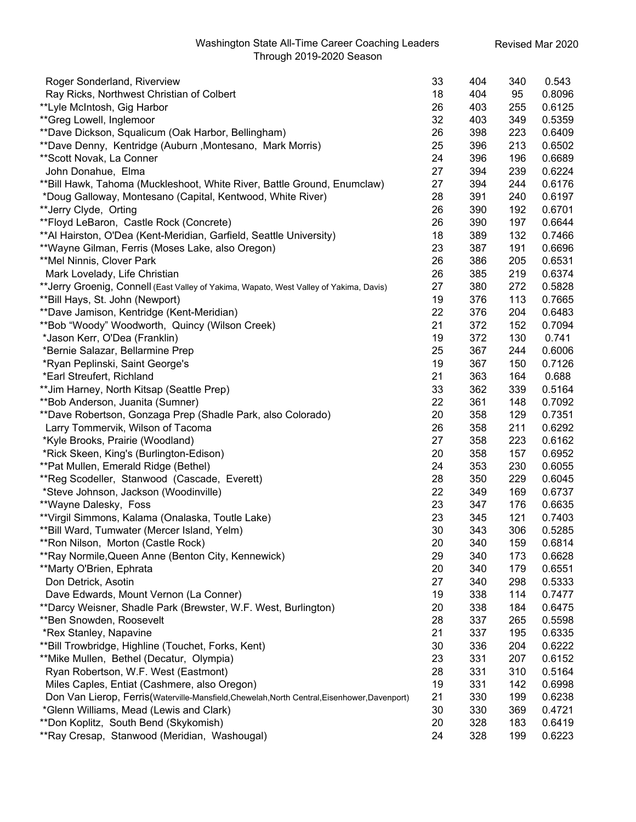## Washington State All-Time Career Coaching Leaders Through 2019-2020 Season

| Roger Sonderland, Riverview                                                              | 33 | 404 | 340 | 0.543  |
|------------------------------------------------------------------------------------------|----|-----|-----|--------|
| Ray Ricks, Northwest Christian of Colbert                                                | 18 | 404 | 95  | 0.8096 |
| **Lyle McIntosh, Gig Harbor                                                              | 26 | 403 | 255 | 0.6125 |
| **Greg Lowell, Inglemoor                                                                 | 32 | 403 | 349 | 0.5359 |
| **Dave Dickson, Squalicum (Oak Harbor, Bellingham)                                       | 26 | 398 | 223 | 0.6409 |
| **Dave Denny, Kentridge (Auburn, Montesano, Mark Morris)                                 | 25 | 396 | 213 | 0.6502 |
| ** Scott Novak, La Conner                                                                | 24 | 396 | 196 | 0.6689 |
| John Donahue, Elma                                                                       | 27 | 394 | 239 | 0.6224 |
| ** Bill Hawk, Tahoma (Muckleshoot, White River, Battle Ground, Enumclaw)                 | 27 | 394 | 244 | 0.6176 |
| *Doug Galloway, Montesano (Capital, Kentwood, White River)                               | 28 | 391 | 240 | 0.6197 |
| **Jerry Clyde, Orting                                                                    | 26 | 390 | 192 | 0.6701 |
| **Floyd LeBaron, Castle Rock (Concrete)                                                  | 26 | 390 | 197 | 0.6644 |
| **Al Hairston, O'Dea (Kent-Meridian, Garfield, Seattle University)                       | 18 | 389 | 132 | 0.7466 |
| **Wayne Gilman, Ferris (Moses Lake, also Oregon)                                         | 23 | 387 | 191 | 0.6696 |
| **Mel Ninnis, Clover Park                                                                | 26 | 386 | 205 | 0.6531 |
| Mark Lovelady, Life Christian                                                            | 26 | 385 | 219 | 0.6374 |
| ** Jerry Groenig, Connell (East Valley of Yakima, Wapato, West Valley of Yakima, Davis)  | 27 | 380 | 272 | 0.5828 |
| **Bill Hays, St. John (Newport)                                                          | 19 | 376 | 113 | 0.7665 |
| **Dave Jamison, Kentridge (Kent-Meridian)                                                | 22 | 376 | 204 | 0.6483 |
| **Bob "Woody" Woodworth, Quincy (Wilson Creek)                                           | 21 | 372 | 152 | 0.7094 |
| *Jason Kerr, O'Dea (Franklin)                                                            | 19 | 372 | 130 | 0.741  |
| *Bernie Salazar, Bellarmine Prep                                                         | 25 | 367 | 244 | 0.6006 |
| *Ryan Peplinski, Saint George's                                                          | 19 | 367 | 150 | 0.7126 |
| *Earl Streufert, Richland                                                                | 21 | 363 | 164 | 0.688  |
| ** Jim Harney, North Kitsap (Seattle Prep)                                               | 33 | 362 | 339 | 0.5164 |
| **Bob Anderson, Juanita (Sumner)                                                         | 22 | 361 | 148 | 0.7092 |
| **Dave Robertson, Gonzaga Prep (Shadle Park, also Colorado)                              | 20 | 358 | 129 | 0.7351 |
| Larry Tommervik, Wilson of Tacoma                                                        | 26 | 358 | 211 | 0.6292 |
| *Kyle Brooks, Prairie (Woodland)                                                         | 27 | 358 | 223 | 0.6162 |
| *Rick Skeen, King's (Burlington-Edison)                                                  | 20 | 358 | 157 | 0.6952 |
| **Pat Mullen, Emerald Ridge (Bethel)                                                     | 24 | 353 | 230 | 0.6055 |
| **Reg Scodeller, Stanwood (Cascade, Everett)                                             | 28 | 350 | 229 | 0.6045 |
| *Steve Johnson, Jackson (Woodinville)                                                    | 22 | 349 | 169 | 0.6737 |
| **Wayne Dalesky, Foss                                                                    | 23 | 347 | 176 | 0.6635 |
| **Virgil Simmons, Kalama (Onalaska, Toutle Lake)                                         | 23 | 345 | 121 | 0.7403 |
| ** Bill Ward, Tumwater (Mercer Island, Yelm)                                             | 30 | 343 | 306 | 0.5285 |
| **Ron Nilson, Morton (Castle Rock)                                                       | 20 | 340 | 159 | 0.6814 |
| **Ray Normile, Queen Anne (Benton City, Kennewick)                                       | 29 | 340 | 173 | 0.6628 |
| **Marty O'Brien, Ephrata                                                                 | 20 | 340 | 179 | 0.6551 |
| Don Detrick, Asotin                                                                      | 27 | 340 | 298 | 0.5333 |
| Dave Edwards, Mount Vernon (La Conner)                                                   | 19 | 338 | 114 | 0.7477 |
| **Darcy Weisner, Shadle Park (Brewster, W.F. West, Burlington)                           | 20 | 338 | 184 | 0.6475 |
| **Ben Snowden, Roosevelt                                                                 | 28 | 337 | 265 | 0.5598 |
| *Rex Stanley, Napavine                                                                   | 21 | 337 | 195 | 0.6335 |
| **Bill Trowbridge, Highline (Touchet, Forks, Kent)                                       | 30 | 336 | 204 | 0.6222 |
| **Mike Mullen, Bethel (Decatur, Olympia)                                                 | 23 | 331 | 207 | 0.6152 |
| Ryan Robertson, W.F. West (Eastmont)                                                     | 28 | 331 | 310 | 0.5164 |
| Miles Caples, Entiat (Cashmere, also Oregon)                                             | 19 | 331 | 142 | 0.6998 |
| Don Van Lierop, Ferris(Waterville-Mansfield,Chewelah,North Central,Eisenhower,Davenport) | 21 | 330 | 199 | 0.6238 |
| *Glenn Williams, Mead (Lewis and Clark)                                                  | 30 | 330 | 369 | 0.4721 |
| **Don Koplitz, South Bend (Skykomish)                                                    | 20 | 328 | 183 | 0.6419 |
| **Ray Cresap, Stanwood (Meridian, Washougal)                                             | 24 | 328 | 199 | 0.6223 |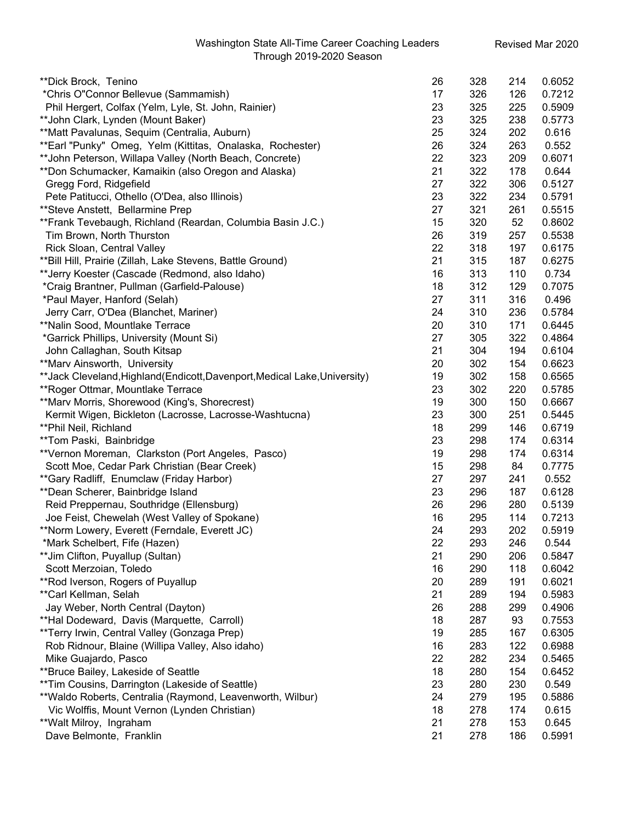| **Dick Brock, Tenino                                                       | 26 | 328 | 214 | 0.6052 |
|----------------------------------------------------------------------------|----|-----|-----|--------|
| *Chris O"Connor Bellevue (Sammamish)                                       | 17 | 326 | 126 | 0.7212 |
| Phil Hergert, Colfax (Yelm, Lyle, St. John, Rainier)                       | 23 | 325 | 225 | 0.5909 |
| ** John Clark, Lynden (Mount Baker)                                        | 23 | 325 | 238 | 0.5773 |
| **Matt Pavalunas, Sequim (Centralia, Auburn)                               | 25 | 324 | 202 | 0.616  |
| **Earl "Punky" Omeg, Yelm (Kittitas, Onalaska, Rochester)                  | 26 | 324 | 263 | 0.552  |
| **John Peterson, Willapa Valley (North Beach, Concrete)                    | 22 | 323 | 209 | 0.6071 |
| **Don Schumacker, Kamaikin (also Oregon and Alaska)                        | 21 | 322 | 178 | 0.644  |
| Gregg Ford, Ridgefield                                                     | 27 | 322 | 306 | 0.5127 |
| Pete Patitucci, Othello (O'Dea, also Illinois)                             | 23 | 322 | 234 | 0.5791 |
| ** Steve Anstett, Bellarmine Prep                                          | 27 | 321 | 261 | 0.5515 |
| **Frank Tevebaugh, Richland (Reardan, Columbia Basin J.C.)                 | 15 | 320 | 52  | 0.8602 |
| Tim Brown, North Thurston                                                  | 26 | 319 | 257 | 0.5538 |
| Rick Sloan, Central Valley                                                 | 22 | 318 | 197 | 0.6175 |
| **Bill Hill, Prairie (Zillah, Lake Stevens, Battle Ground)                 | 21 | 315 | 187 | 0.6275 |
| **Jerry Koester (Cascade (Redmond, also Idaho)                             | 16 | 313 | 110 | 0.734  |
| *Craig Brantner, Pullman (Garfield-Palouse)                                | 18 | 312 | 129 | 0.7075 |
| *Paul Mayer, Hanford (Selah)                                               | 27 | 311 | 316 | 0.496  |
| Jerry Carr, O'Dea (Blanchet, Mariner)                                      | 24 | 310 | 236 | 0.5784 |
| **Nalin Sood, Mountlake Terrace                                            | 20 | 310 | 171 | 0.6445 |
| *Garrick Phillips, University (Mount Si)                                   | 27 | 305 | 322 | 0.4864 |
| John Callaghan, South Kitsap                                               | 21 | 304 | 194 | 0.6104 |
| **Marv Ainsworth, University                                               | 20 | 302 | 154 | 0.6623 |
| **Jack Cleveland, Highland (Endicott, Davenport, Medical Lake, University) | 19 | 302 | 158 | 0.6565 |
| **Roger Ottmar, Mountlake Terrace                                          | 23 | 302 | 220 | 0.5785 |
| **Marv Morris, Shorewood (King's, Shorecrest)                              | 19 | 300 | 150 | 0.6667 |
| Kermit Wigen, Bickleton (Lacrosse, Lacrosse-Washtucna)                     | 23 | 300 | 251 | 0.5445 |
| **Phil Neil, Richland                                                      | 18 | 299 | 146 | 0.6719 |
| **Tom Paski, Bainbridge                                                    | 23 | 298 | 174 | 0.6314 |
| **Vernon Moreman, Clarkston (Port Angeles, Pasco)                          | 19 | 298 | 174 | 0.6314 |
| Scott Moe, Cedar Park Christian (Bear Creek)                               | 15 | 298 | 84  | 0.7775 |
| **Gary Radliff, Enumclaw (Friday Harbor)                                   | 27 | 297 | 241 | 0.552  |
| ** Dean Scherer, Bainbridge Island                                         | 23 | 296 | 187 | 0.6128 |
| Reid Preppernau, Southridge (Ellensburg)                                   | 26 | 296 | 280 | 0.5139 |
| Joe Feist, Chewelah (West Valley of Spokane)                               | 16 | 295 | 114 | 0.7213 |
| **Norm Lowery, Everett (Ferndale, Everett JC)                              | 24 | 293 | 202 | 0.5919 |
| *Mark Schelbert, Fife (Hazen)                                              | 22 | 293 | 246 | 0.544  |
| ** Jim Clifton, Puyallup (Sultan)                                          | 21 | 290 | 206 | 0.5847 |
| Scott Merzoian, Toledo                                                     | 16 | 290 | 118 | 0.6042 |
| **Rod Iverson, Rogers of Puyallup                                          | 20 | 289 | 191 | 0.6021 |
| **Carl Kellman, Selah                                                      | 21 | 289 | 194 | 0.5983 |
| Jay Weber, North Central (Dayton)                                          | 26 | 288 | 299 | 0.4906 |
| **Hal Dodeward, Davis (Marquette, Carroll)                                 | 18 | 287 | 93  | 0.7553 |
| **Terry Irwin, Central Valley (Gonzaga Prep)                               | 19 | 285 | 167 | 0.6305 |
| Rob Ridnour, Blaine (Willipa Valley, Also idaho)                           | 16 | 283 | 122 | 0.6988 |
| Mike Guajardo, Pasco                                                       | 22 | 282 | 234 | 0.5465 |
| **Bruce Bailey, Lakeside of Seattle                                        | 18 | 280 | 154 | 0.6452 |
| **Tim Cousins, Darrington (Lakeside of Seattle)                            | 23 | 280 | 230 | 0.549  |
| **Waldo Roberts, Centralia (Raymond, Leavenworth, Wilbur)                  | 24 | 279 | 195 | 0.5886 |
| Vic Wolffis, Mount Vernon (Lynden Christian)                               | 18 | 278 | 174 | 0.615  |
| **Walt Milroy, Ingraham                                                    | 21 | 278 | 153 | 0.645  |
| Dave Belmonte, Franklin                                                    | 21 | 278 | 186 | 0.5991 |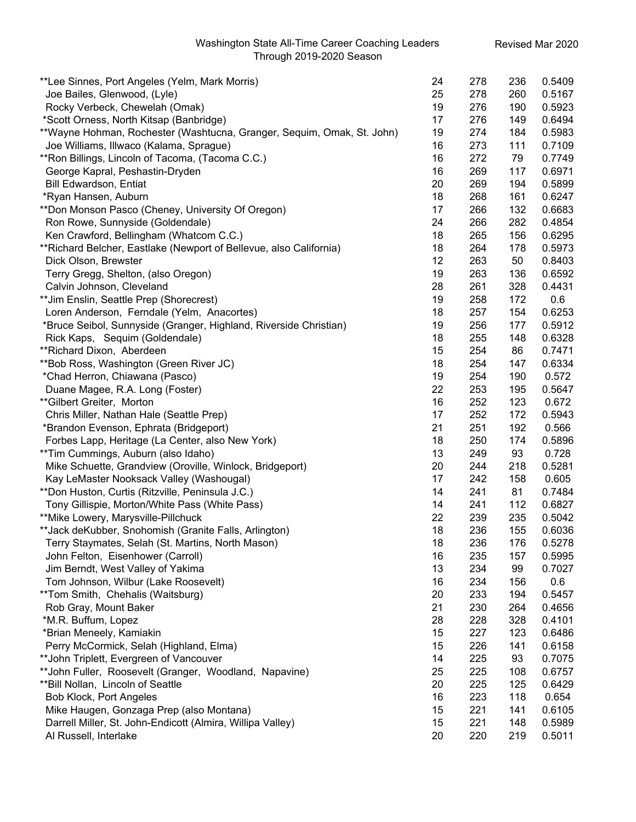| **Lee Sinnes, Port Angeles (Yelm, Mark Morris)                         | 24 | 278 | 236 | 0.5409 |
|------------------------------------------------------------------------|----|-----|-----|--------|
| Joe Bailes, Glenwood, (Lyle)                                           | 25 | 278 | 260 | 0.5167 |
| Rocky Verbeck, Chewelah (Omak)                                         | 19 | 276 | 190 | 0.5923 |
| *Scott Orness, North Kitsap (Banbridge)                                | 17 | 276 | 149 | 0.6494 |
| **Wayne Hohman, Rochester (Washtucna, Granger, Sequim, Omak, St. John) | 19 | 274 | 184 | 0.5983 |
| Joe Williams, Illwaco (Kalama, Sprague)                                | 16 | 273 | 111 | 0.7109 |
| **Ron Billings, Lincoln of Tacoma, (Tacoma C.C.)                       | 16 | 272 | 79  | 0.7749 |
| George Kapral, Peshastin-Dryden                                        | 16 | 269 | 117 | 0.6971 |
| <b>Bill Edwardson, Entiat</b>                                          | 20 | 269 | 194 | 0.5899 |
| *Ryan Hansen, Auburn                                                   | 18 | 268 | 161 | 0.6247 |
| **Don Monson Pasco (Cheney, University Of Oregon)                      | 17 | 266 | 132 | 0.6683 |
| Ron Rowe, Sunnyside (Goldendale)                                       | 24 | 266 | 282 | 0.4854 |
| Ken Crawford, Bellingham (Whatcom C.C.)                                | 18 | 265 | 156 | 0.6295 |
| **Richard Belcher, Eastlake (Newport of Bellevue, also California)     | 18 | 264 | 178 | 0.5973 |
| Dick Olson, Brewster                                                   | 12 | 263 | 50  | 0.8403 |
| Terry Gregg, Shelton, (also Oregon)                                    | 19 | 263 | 136 | 0.6592 |
| Calvin Johnson, Cleveland                                              | 28 | 261 | 328 | 0.4431 |
| ** Jim Enslin, Seattle Prep (Shorecrest)                               | 19 | 258 | 172 | 0.6    |
| Loren Anderson, Ferndale (Yelm, Anacortes)                             | 18 | 257 | 154 | 0.6253 |
| *Bruce Seibol, Sunnyside (Granger, Highland, Riverside Christian)      | 19 | 256 | 177 | 0.5912 |
| Rick Kaps, Sequim (Goldendale)                                         | 18 | 255 | 148 | 0.6328 |
| **Richard Dixon, Aberdeen                                              | 15 | 254 | 86  | 0.7471 |
| **Bob Ross, Washington (Green River JC)                                | 18 | 254 | 147 | 0.6334 |
| *Chad Herron, Chiawana (Pasco)                                         | 19 | 254 | 190 | 0.572  |
| Duane Magee, R.A. Long (Foster)                                        | 22 | 253 | 195 | 0.5647 |
| **Gilbert Greiter, Morton                                              | 16 | 252 | 123 | 0.672  |
| Chris Miller, Nathan Hale (Seattle Prep)                               | 17 | 252 | 172 | 0.5943 |
| *Brandon Evenson, Ephrata (Bridgeport)                                 | 21 | 251 | 192 | 0.566  |
| Forbes Lapp, Heritage (La Center, also New York)                       | 18 | 250 | 174 | 0.5896 |
| **Tim Cummings, Auburn (also Idaho)                                    | 13 | 249 | 93  | 0.728  |
| Mike Schuette, Grandview (Oroville, Winlock, Bridgeport)               | 20 | 244 | 218 | 0.5281 |
| Kay LeMaster Nooksack Valley (Washougal)                               | 17 | 242 | 158 | 0.605  |
| **Don Huston, Curtis (Ritzville, Peninsula J.C.)                       | 14 | 241 | 81  | 0.7484 |
| Tony Gillispie, Morton/White Pass (White Pass)                         | 14 | 241 | 112 | 0.6827 |
| **Mike Lowery, Marysville-Pillchuck                                    | 22 | 239 | 235 | 0.5042 |
| **Jack deKubber, Snohomish (Granite Falls, Arlington)                  | 18 | 236 | 155 | 0.6036 |
| Terry Staymates, Selah (St. Martins, North Mason)                      | 18 | 236 | 176 | 0.5278 |
| John Felton, Eisenhower (Carroll)                                      | 16 | 235 | 157 | 0.5995 |
| Jim Berndt, West Valley of Yakima                                      | 13 | 234 | 99  | 0.7027 |
| Tom Johnson, Wilbur (Lake Roosevelt)                                   | 16 | 234 | 156 | 0.6    |
| **Tom Smith, Chehalis (Waitsburg)                                      | 20 | 233 | 194 | 0.5457 |
| Rob Gray, Mount Baker                                                  | 21 | 230 | 264 | 0.4656 |
| *M.R. Buffum, Lopez                                                    | 28 | 228 | 328 | 0.4101 |
| *Brian Meneely, Kamiakin                                               | 15 | 227 | 123 | 0.6486 |
| Perry McCormick, Selah (Highland, Elma)                                | 15 | 226 | 141 | 0.6158 |
| ** John Triplett, Evergreen of Vancouver                               | 14 | 225 | 93  | 0.7075 |
| **John Fuller, Roosevelt (Granger, Woodland, Napavine)                 | 25 | 225 | 108 | 0.6757 |
| ** Bill Nollan, Lincoln of Seattle                                     | 20 | 225 | 125 | 0.6429 |
| Bob Klock, Port Angeles                                                | 16 | 223 | 118 | 0.654  |
| Mike Haugen, Gonzaga Prep (also Montana)                               | 15 | 221 | 141 | 0.6105 |
| Darrell Miller, St. John-Endicott (Almira, Willipa Valley)             | 15 | 221 | 148 | 0.5989 |
| Al Russell, Interlake                                                  | 20 | 220 | 219 | 0.5011 |
|                                                                        |    |     |     |        |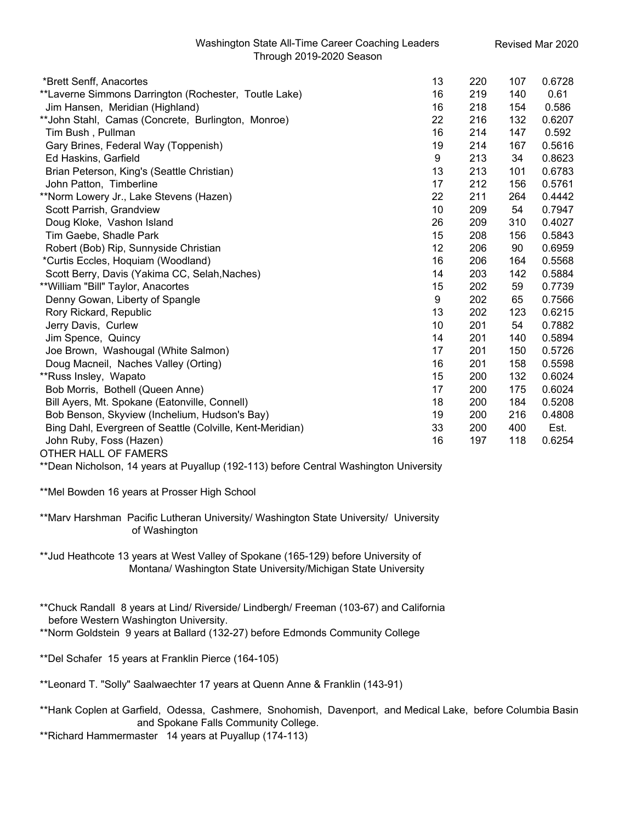| *Brett Senff, Anacortes                                   | 13 | 220 | 107 | 0.6728 |
|-----------------------------------------------------------|----|-----|-----|--------|
| **Laverne Simmons Darrington (Rochester, Toutle Lake)     | 16 | 219 | 140 | 0.61   |
| Jim Hansen, Meridian (Highland)                           | 16 | 218 | 154 | 0.586  |
| **John Stahl, Camas (Concrete, Burlington, Monroe)        | 22 | 216 | 132 | 0.6207 |
| Tim Bush, Pullman                                         | 16 | 214 | 147 | 0.592  |
| Gary Brines, Federal Way (Toppenish)                      | 19 | 214 | 167 | 0.5616 |
| Ed Haskins, Garfield                                      | 9  | 213 | 34  | 0.8623 |
| Brian Peterson, King's (Seattle Christian)                | 13 | 213 | 101 | 0.6783 |
| John Patton, Timberline                                   | 17 | 212 | 156 | 0.5761 |
| **Norm Lowery Jr., Lake Stevens (Hazen)                   | 22 | 211 | 264 | 0.4442 |
| Scott Parrish, Grandview                                  | 10 | 209 | 54  | 0.7947 |
| Doug Kloke, Vashon Island                                 | 26 | 209 | 310 | 0.4027 |
| Tim Gaebe, Shadle Park                                    | 15 | 208 | 156 | 0.5843 |
| Robert (Bob) Rip, Sunnyside Christian                     | 12 | 206 | 90  | 0.6959 |
| *Curtis Eccles, Hoquiam (Woodland)                        | 16 | 206 | 164 | 0.5568 |
| Scott Berry, Davis (Yakima CC, Selah, Naches)             | 14 | 203 | 142 | 0.5884 |
| ** William "Bill" Taylor, Anacortes                       | 15 | 202 | 59  | 0.7739 |
| Denny Gowan, Liberty of Spangle                           | 9  | 202 | 65  | 0.7566 |
| Rory Rickard, Republic                                    | 13 | 202 | 123 | 0.6215 |
| Jerry Davis, Curlew                                       | 10 | 201 | 54  | 0.7882 |
| Jim Spence, Quincy                                        | 14 | 201 | 140 | 0.5894 |
| Joe Brown, Washougal (White Salmon)                       | 17 | 201 | 150 | 0.5726 |
| Doug Macneil, Naches Valley (Orting)                      | 16 | 201 | 158 | 0.5598 |
| **Russ Insley, Wapato                                     | 15 | 200 | 132 | 0.6024 |
| Bob Morris, Bothell (Queen Anne)                          | 17 | 200 | 175 | 0.6024 |
| Bill Ayers, Mt. Spokane (Eatonville, Connell)             | 18 | 200 | 184 | 0.5208 |
| Bob Benson, Skyview (Inchelium, Hudson's Bay)             | 19 | 200 | 216 | 0.4808 |
| Bing Dahl, Evergreen of Seattle (Colville, Kent-Meridian) | 33 | 200 | 400 | Est.   |
| John Ruby, Foss (Hazen)                                   | 16 | 197 | 118 | 0.6254 |
| OTHER HALL OF FAMERS                                      |    |     |     |        |

\*\*Dean Nicholson, 14 years at Puyallup (192-113) before Central Washington University

\*\*Mel Bowden 16 years at Prosser High School

\*\*Marv Harshman Pacific Lutheran University/ Washington State University/ University of Washington

\*\*Jud Heathcote 13 years at West Valley of Spokane (165-129) before University of Montana/ Washington State University/Michigan State University

\*\*Chuck Randall 8 years at Lind/ Riverside/ Lindbergh/ Freeman (103-67) and California before Western Washington University.

\*\*Norm Goldstein 9 years at Ballard (132-27) before Edmonds Community College

\*\*Del Schafer 15 years at Franklin Pierce (164-105)

\*\*Leonard T. "Solly" Saalwaechter 17 years at Quenn Anne & Franklin (143-91)

\*\*Hank Coplen at Garfield, Odessa, Cashmere, Snohomish, Davenport, and Medical Lake, before Columbia Basin and Spokane Falls Community College.

\*\*Richard Hammermaster 14 years at Puyallup (174-113)